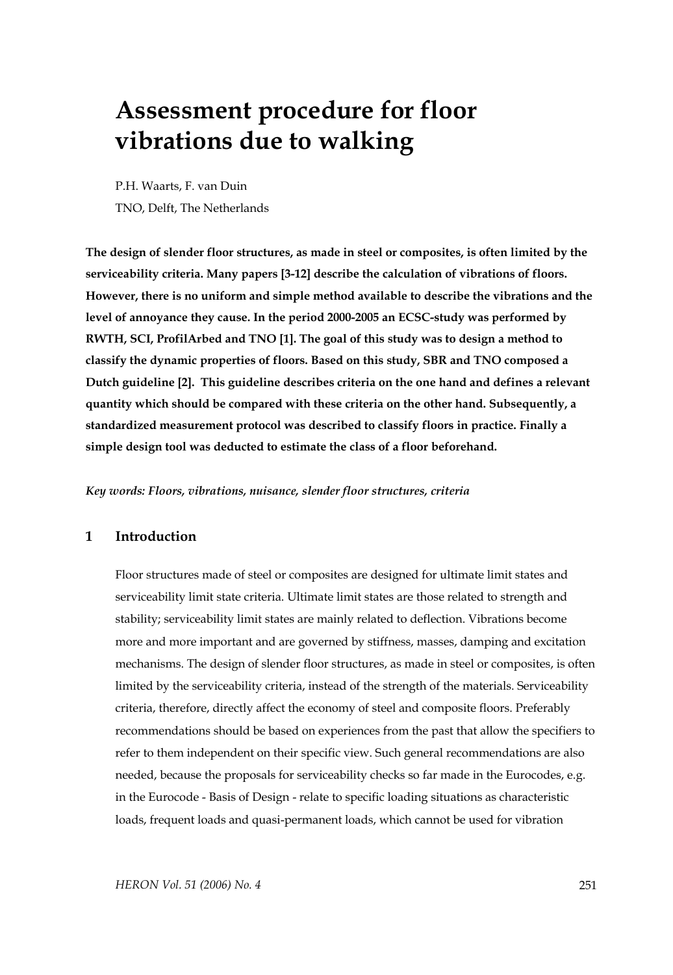# **Assessment procedure for floor vibrations due to walking**

P.H. Waarts, F. van Duin TNO, Delft, The Netherlands

**The design of slender floor structures, as made in steel or composites, is often limited by the serviceability criteria. Many papers [3-12] describe the calculation of vibrations of floors. However, there is no uniform and simple method available to describe the vibrations and the level of annoyance they cause. In the period 2000-2005 an ECSC-study was performed by RWTH, SCI, ProfilArbed and TNO [1]. The goal of this study was to design a method to classify the dynamic properties of floors. Based on this study, SBR and TNO composed a Dutch guideline [2]. This guideline describes criteria on the one hand and defines a relevant quantity which should be compared with these criteria on the other hand. Subsequently, a standardized measurement protocol was described to classify floors in practice. Finally a simple design tool was deducted to estimate the class of a floor beforehand.** 

*Key words: Floors, vibrations, nuisance, slender floor structures, criteria* 

# **1 Introduction**

Floor structures made of steel or composites are designed for ultimate limit states and serviceability limit state criteria. Ultimate limit states are those related to strength and stability; serviceability limit states are mainly related to deflection. Vibrations become more and more important and are governed by stiffness, masses, damping and excitation mechanisms. The design of slender floor structures, as made in steel or composites, is often limited by the serviceability criteria, instead of the strength of the materials. Serviceability criteria, therefore, directly affect the economy of steel and composite floors. Preferably recommendations should be based on experiences from the past that allow the specifiers to refer to them independent on their specific view. Such general recommendations are also needed, because the proposals for serviceability checks so far made in the Eurocodes, e.g. in the Eurocode - Basis of Design - relate to specific loading situations as characteristic loads, frequent loads and quasi-permanent loads, which cannot be used for vibration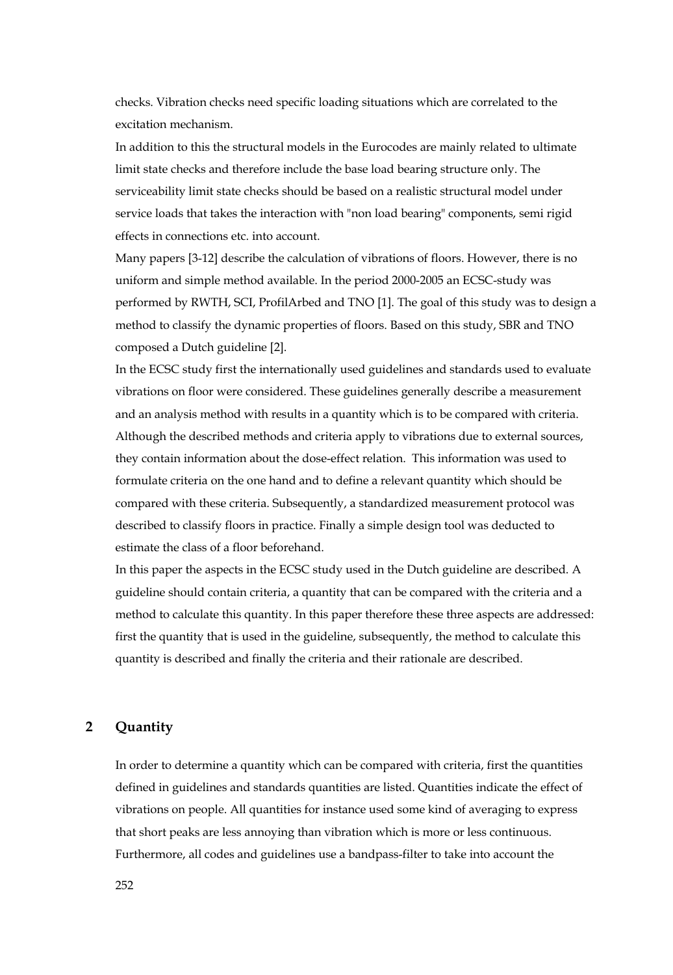checks. Vibration checks need specific loading situations which are correlated to the excitation mechanism.

In addition to this the structural models in the Eurocodes are mainly related to ultimate limit state checks and therefore include the base load bearing structure only. The serviceability limit state checks should be based on a realistic structural model under service loads that takes the interaction with "non load bearing" components, semi rigid effects in connections etc. into account.

Many papers [3-12] describe the calculation of vibrations of floors. However, there is no uniform and simple method available. In the period 2000-2005 an ECSC-study was performed by RWTH, SCI, ProfilArbed and TNO [1]. The goal of this study was to design a method to classify the dynamic properties of floors. Based on this study, SBR and TNO composed a Dutch guideline [2].

In the ECSC study first the internationally used guidelines and standards used to evaluate vibrations on floor were considered. These guidelines generally describe a measurement and an analysis method with results in a quantity which is to be compared with criteria. Although the described methods and criteria apply to vibrations due to external sources, they contain information about the dose-effect relation. This information was used to formulate criteria on the one hand and to define a relevant quantity which should be compared with these criteria. Subsequently, a standardized measurement protocol was described to classify floors in practice. Finally a simple design tool was deducted to estimate the class of a floor beforehand.

In this paper the aspects in the ECSC study used in the Dutch guideline are described. A guideline should contain criteria, a quantity that can be compared with the criteria and a method to calculate this quantity. In this paper therefore these three aspects are addressed: first the quantity that is used in the guideline, subsequently, the method to calculate this quantity is described and finally the criteria and their rationale are described.

## **2 Quantity**

In order to determine a quantity which can be compared with criteria, first the quantities defined in guidelines and standards quantities are listed. Quantities indicate the effect of vibrations on people. All quantities for instance used some kind of averaging to express that short peaks are less annoying than vibration which is more or less continuous. Furthermore, all codes and guidelines use a bandpass-filter to take into account the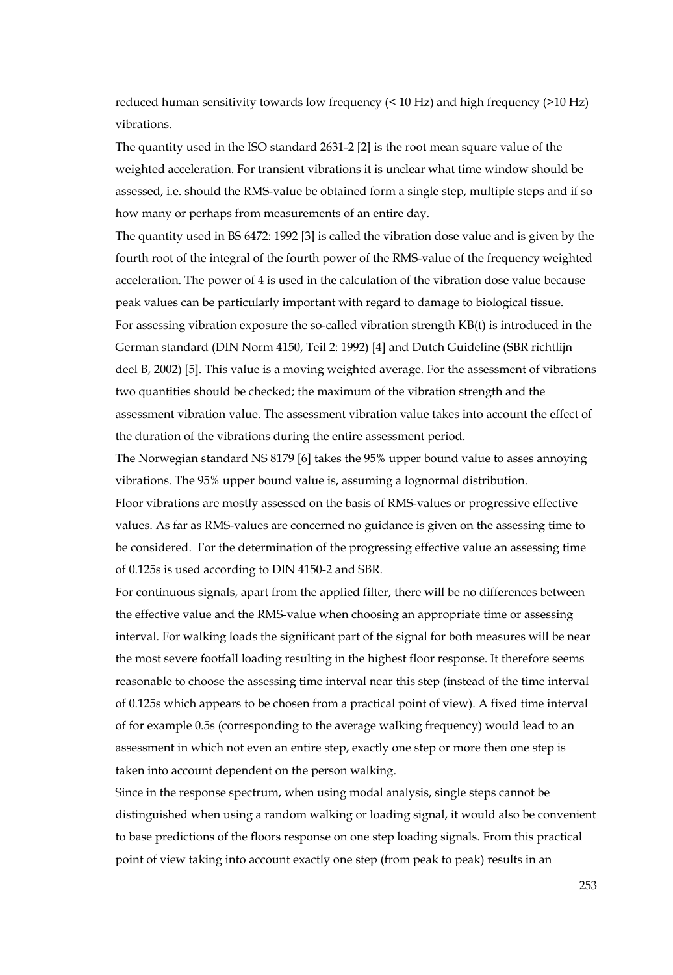reduced human sensitivity towards low frequency (< 10 Hz) and high frequency (>10 Hz) vibrations.

The quantity used in the ISO standard 2631-2 [2] is the root mean square value of the weighted acceleration. For transient vibrations it is unclear what time window should be assessed, i.e. should the RMS-value be obtained form a single step, multiple steps and if so how many or perhaps from measurements of an entire day.

The quantity used in BS 6472: 1992 [3] is called the vibration dose value and is given by the fourth root of the integral of the fourth power of the RMS-value of the frequency weighted acceleration. The power of 4 is used in the calculation of the vibration dose value because peak values can be particularly important with regard to damage to biological tissue. For assessing vibration exposure the so-called vibration strength KB(t) is introduced in the German standard (DIN Norm 4150, Teil 2: 1992) [4] and Dutch Guideline (SBR richtlijn deel B, 2002) [5]. This value is a moving weighted average. For the assessment of vibrations two quantities should be checked; the maximum of the vibration strength and the assessment vibration value. The assessment vibration value takes into account the effect of the duration of the vibrations during the entire assessment period.

The Norwegian standard NS 8179 [6] takes the 95% upper bound value to asses annoying vibrations. The 95% upper bound value is, assuming a lognormal distribution.

Floor vibrations are mostly assessed on the basis of RMS-values or progressive effective values. As far as RMS-values are concerned no guidance is given on the assessing time to be considered. For the determination of the progressing effective value an assessing time of 0.125s is used according to DIN 4150-2 and SBR.

For continuous signals, apart from the applied filter, there will be no differences between the effective value and the RMS-value when choosing an appropriate time or assessing interval. For walking loads the significant part of the signal for both measures will be near the most severe footfall loading resulting in the highest floor response. It therefore seems reasonable to choose the assessing time interval near this step (instead of the time interval of 0.125s which appears to be chosen from a practical point of view). A fixed time interval of for example 0.5s (corresponding to the average walking frequency) would lead to an assessment in which not even an entire step, exactly one step or more then one step is taken into account dependent on the person walking.

Since in the response spectrum, when using modal analysis, single steps cannot be distinguished when using a random walking or loading signal, it would also be convenient to base predictions of the floors response on one step loading signals. From this practical point of view taking into account exactly one step (from peak to peak) results in an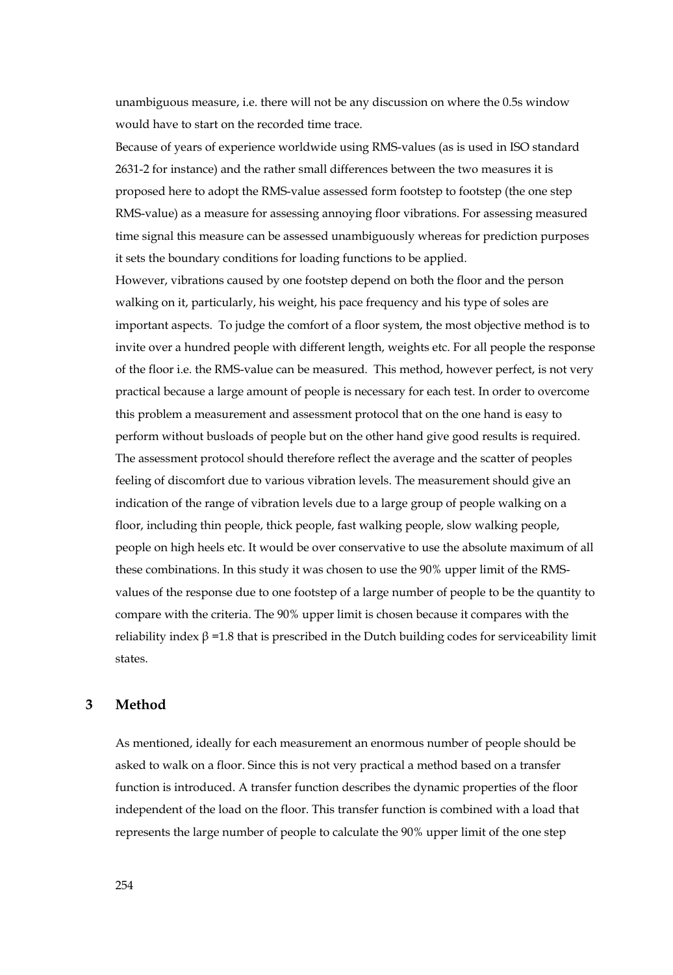unambiguous measure, i.e. there will not be any discussion on where the 0.5s window would have to start on the recorded time trace.

Because of years of experience worldwide using RMS-values (as is used in ISO standard 2631-2 for instance) and the rather small differences between the two measures it is proposed here to adopt the RMS-value assessed form footstep to footstep (the one step RMS-value) as a measure for assessing annoying floor vibrations. For assessing measured time signal this measure can be assessed unambiguously whereas for prediction purposes it sets the boundary conditions for loading functions to be applied.

However, vibrations caused by one footstep depend on both the floor and the person walking on it, particularly, his weight, his pace frequency and his type of soles are important aspects. To judge the comfort of a floor system, the most objective method is to invite over a hundred people with different length, weights etc. For all people the response of the floor i.e. the RMS-value can be measured. This method, however perfect, is not very practical because a large amount of people is necessary for each test. In order to overcome this problem a measurement and assessment protocol that on the one hand is easy to perform without busloads of people but on the other hand give good results is required. The assessment protocol should therefore reflect the average and the scatter of peoples feeling of discomfort due to various vibration levels. The measurement should give an indication of the range of vibration levels due to a large group of people walking on a floor, including thin people, thick people, fast walking people, slow walking people, people on high heels etc. It would be over conservative to use the absolute maximum of all these combinations. In this study it was chosen to use the 90% upper limit of the RMSvalues of the response due to one footstep of a large number of people to be the quantity to compare with the criteria. The 90% upper limit is chosen because it compares with the reliability index  $β = 1.8$  that is prescribed in the Dutch building codes for serviceability limit states.

#### **3 Method**

As mentioned, ideally for each measurement an enormous number of people should be asked to walk on a floor. Since this is not very practical a method based on a transfer function is introduced. A transfer function describes the dynamic properties of the floor independent of the load on the floor. This transfer function is combined with a load that represents the large number of people to calculate the 90% upper limit of the one step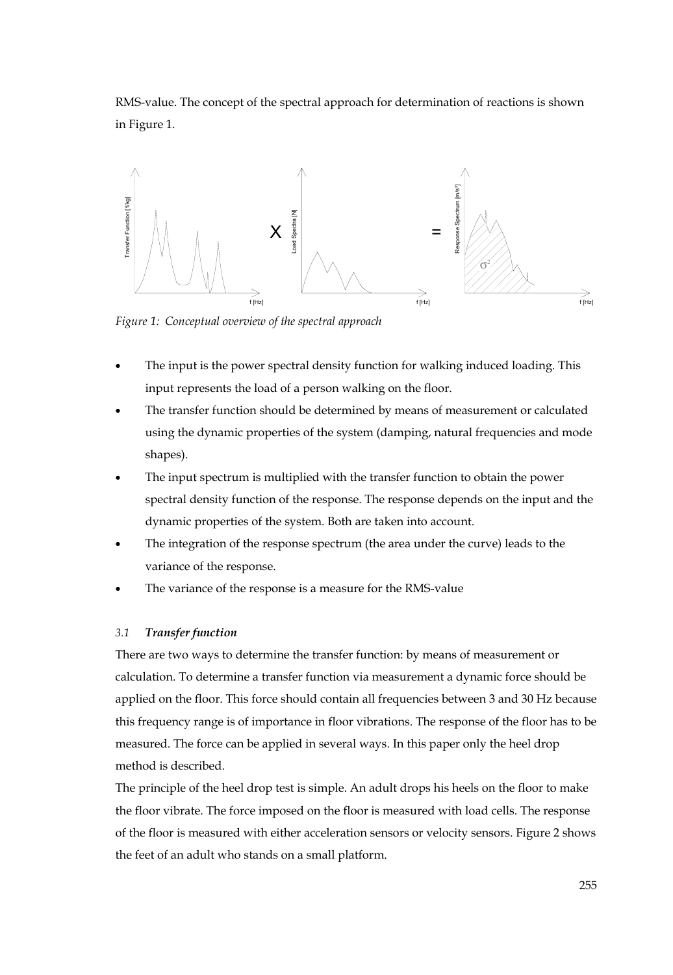RMS-value. The concept of the spectral approach for determination of reactions is shown in Figure 1.



*Figure 1: Conceptual overview of the spectral approach* 

- The input is the power spectral density function for walking induced loading. This input represents the load of a person walking on the floor.
- The transfer function should be determined by means of measurement or calculated using the dynamic properties of the system (damping, natural frequencies and mode shapes).
- The input spectrum is multiplied with the transfer function to obtain the power spectral density function of the response. The response depends on the input and the dynamic properties of the system. Both are taken into account.
- The integration of the response spectrum (the area under the curve) leads to the variance of the response.
- The variance of the response is a measure for the RMS-value

#### *3.1 Transfer function*

There are two ways to determine the transfer function: by means of measurement or calculation. To determine a transfer function via measurement a dynamic force should be applied on the floor. This force should contain all frequencies between 3 and 30 Hz because this frequency range is of importance in floor vibrations. The response of the floor has to be measured. The force can be applied in several ways. In this paper only the heel drop method is described.

The principle of the heel drop test is simple. An adult drops his heels on the floor to make the floor vibrate. The force imposed on the floor is measured with load cells. The response of the floor is measured with either acceleration sensors or velocity sensors. Figure 2 shows the feet of an adult who stands on a small platform.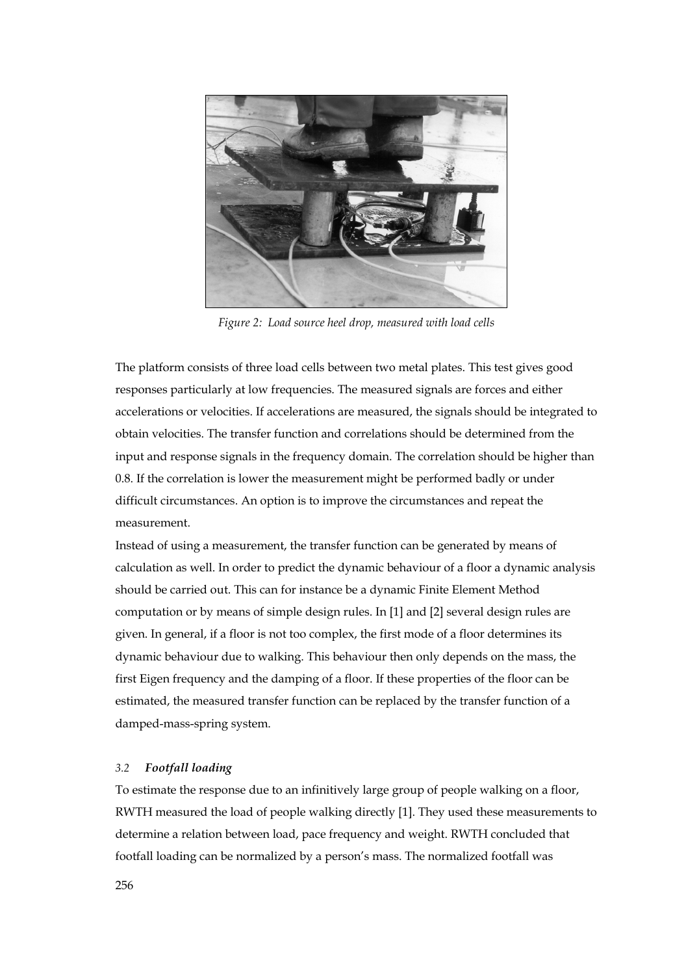

*Figure 2: Load source heel drop, measured with load cells* 

The platform consists of three load cells between two metal plates. This test gives good responses particularly at low frequencies. The measured signals are forces and either accelerations or velocities. If accelerations are measured, the signals should be integrated to obtain velocities. The transfer function and correlations should be determined from the input and response signals in the frequency domain. The correlation should be higher than 0.8. If the correlation is lower the measurement might be performed badly or under difficult circumstances. An option is to improve the circumstances and repeat the measurement.

Instead of using a measurement, the transfer function can be generated by means of calculation as well. In order to predict the dynamic behaviour of a floor a dynamic analysis should be carried out. This can for instance be a dynamic Finite Element Method computation or by means of simple design rules. In [1] and [2] several design rules are given. In general, if a floor is not too complex, the first mode of a floor determines its dynamic behaviour due to walking. This behaviour then only depends on the mass, the first Eigen frequency and the damping of a floor. If these properties of the floor can be estimated, the measured transfer function can be replaced by the transfer function of a damped-mass-spring system.

#### *3.2 Footfall loading*

To estimate the response due to an infinitively large group of people walking on a floor, RWTH measured the load of people walking directly [1]. They used these measurements to determine a relation between load, pace frequency and weight. RWTH concluded that footfall loading can be normalized by a person's mass. The normalized footfall was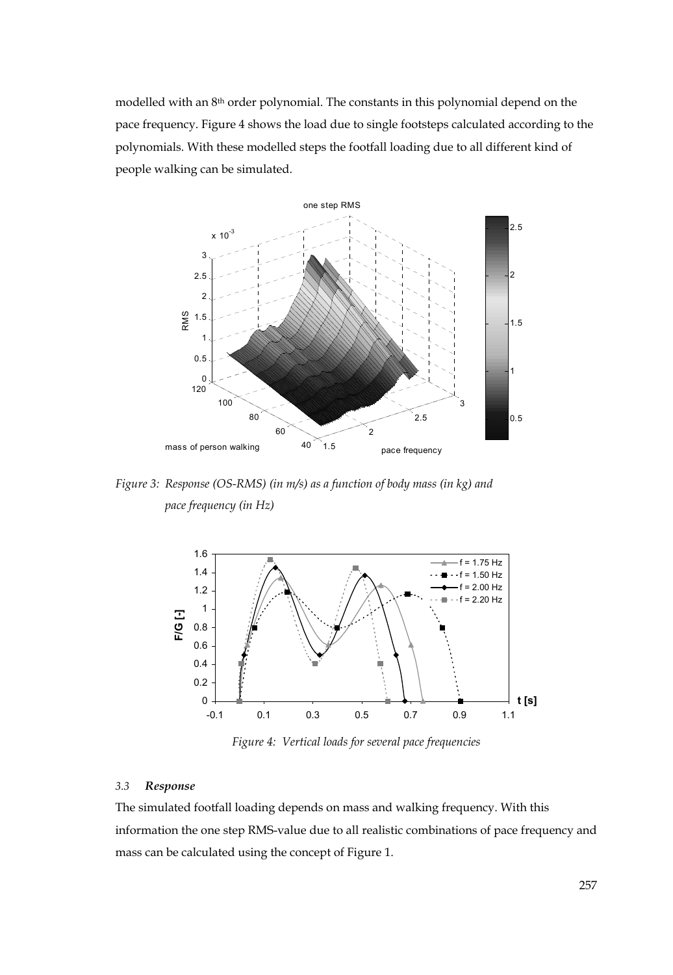modelled with an 8th order polynomial. The constants in this polynomial depend on the pace frequency. Figure 4 shows the load due to single footsteps calculated according to the polynomials. With these modelled steps the footfall loading due to all different kind of people walking can be simulated.



*Figure 3: Response (OS-RMS) (in m/s) as a function of body mass (in kg) and pace frequency (in Hz)* 



*Figure 4: Vertical loads for several pace frequencies* 

## *3.3 Response*

The simulated footfall loading depends on mass and walking frequency. With this information the one step RMS-value due to all realistic combinations of pace frequency and mass can be calculated using the concept of Figure 1.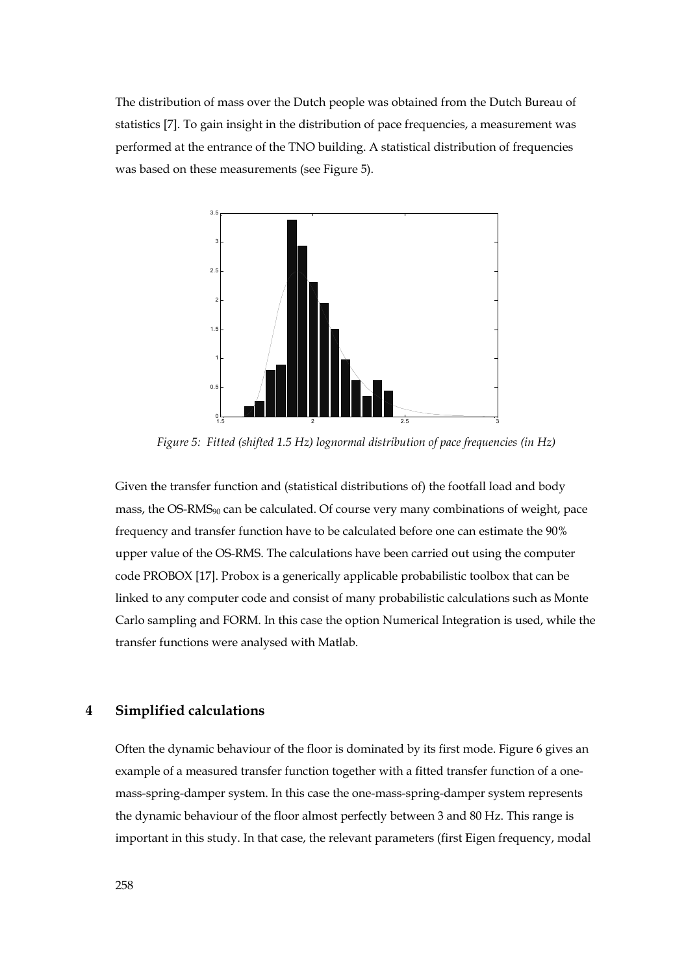The distribution of mass over the Dutch people was obtained from the Dutch Bureau of statistics [7]. To gain insight in the distribution of pace frequencies, a measurement was performed at the entrance of the TNO building. A statistical distribution of frequencies was based on these measurements (see Figure 5).



*Figure 5: Fitted (shifted 1.5 Hz) lognormal distribution of pace frequencies (in Hz)* 

Given the transfer function and (statistical distributions of) the footfall load and body mass, the  $OS-RMS<sub>90</sub>$  can be calculated. Of course very many combinations of weight, pace frequency and transfer function have to be calculated before one can estimate the 90% upper value of the OS-RMS. The calculations have been carried out using the computer code PROBOX [17]. Probox is a generically applicable probabilistic toolbox that can be linked to any computer code and consist of many probabilistic calculations such as Monte Carlo sampling and FORM. In this case the option Numerical Integration is used, while the transfer functions were analysed with Matlab.

## **4 Simplified calculations**

Often the dynamic behaviour of the floor is dominated by its first mode. Figure 6 gives an example of a measured transfer function together with a fitted transfer function of a onemass-spring-damper system. In this case the one-mass-spring-damper system represents the dynamic behaviour of the floor almost perfectly between 3 and 80 Hz. This range is important in this study. In that case, the relevant parameters (first Eigen frequency, modal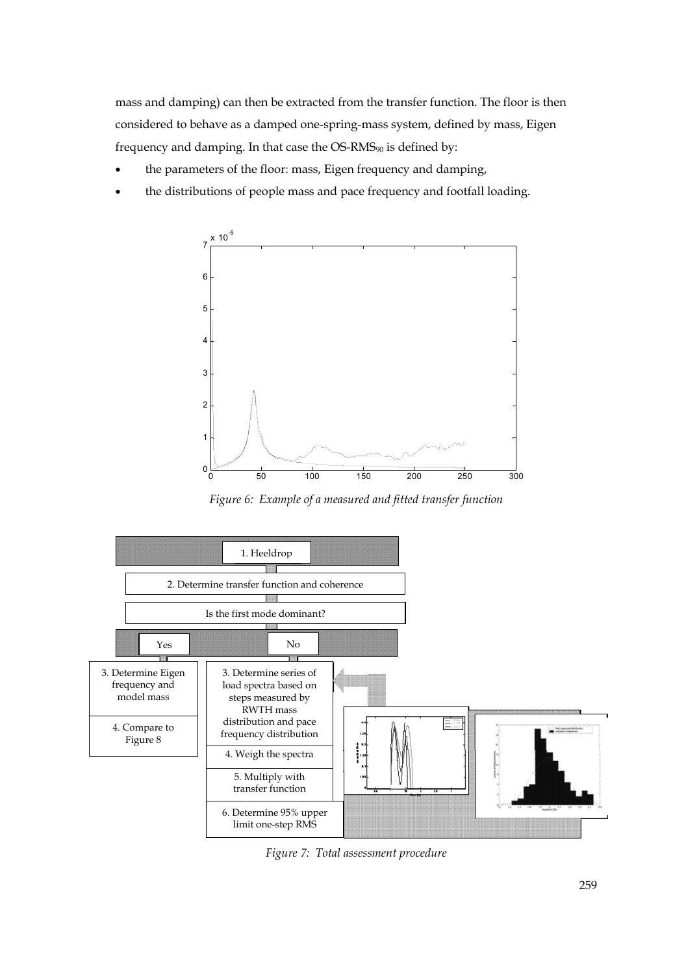mass and damping) can then be extracted from the transfer function. The floor is then considered to behave as a damped one-spring-mass system, defined by mass, Eigen frequency and damping. In that case the  $OS-RMS_{90}$  is defined by:

- the parameters of the floor: mass, Eigen frequency and damping,
- the distributions of people mass and pace frequency and footfall loading.



*Figure 6: Example of a measured and fitted transfer function* 



*Figure 7: Total assessment procedure*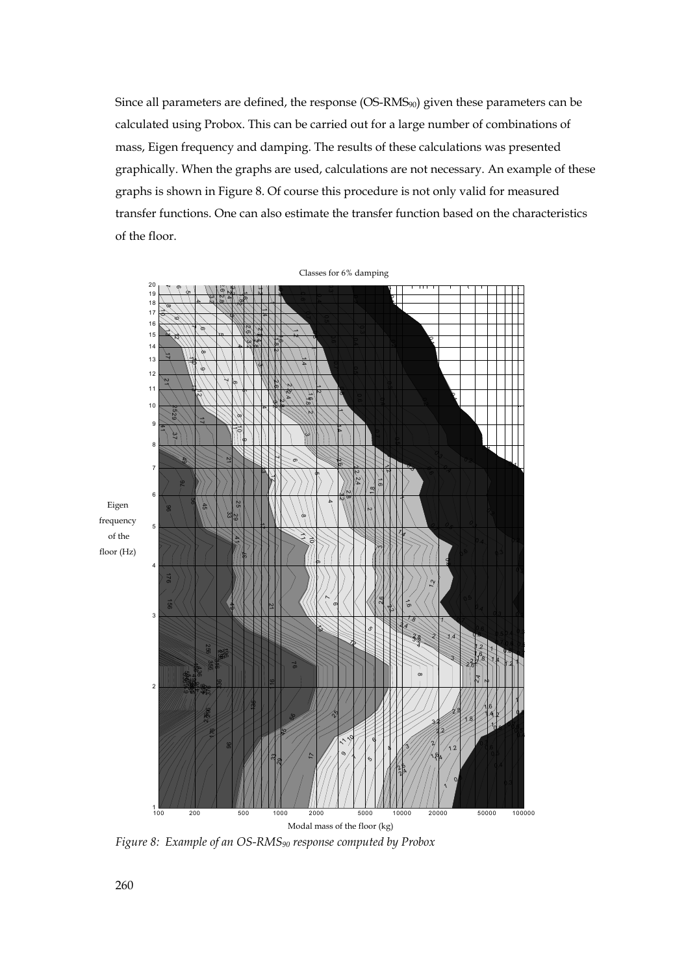Since all parameters are defined, the response  $(OS-RMS_{90})$  given these parameters can be calculated using Probox. This can be carried out for a large number of combinations of mass, Eigen frequency and damping. The results of these calculations was presented graphically. When the graphs are used, calculations are not necessary. An example of these graphs is shown in Figure 8. Of course this procedure is not only valid for measured transfer functions. One can also estimate the transfer function based on the characteristics of the floor.



Figure 8: Example of an OS-RMS<sub>90</sub> response computed by Probox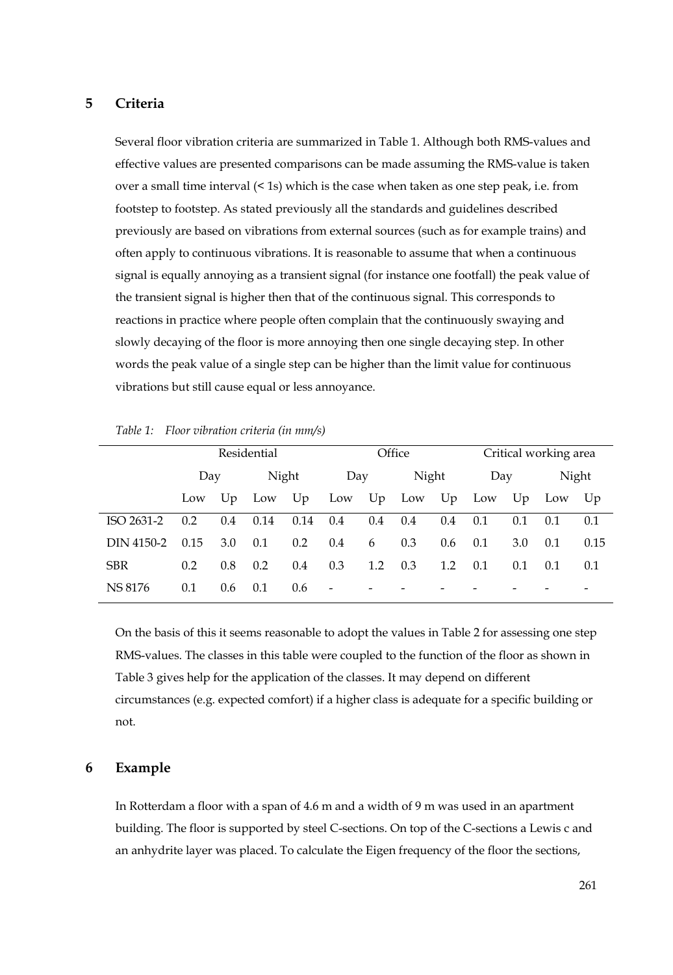# **5 Criteria**

Several floor vibration criteria are summarized in Table 1. Although both RMS-values and effective values are presented comparisons can be made assuming the RMS-value is taken over a small time interval (< 1s) which is the case when taken as one step peak, i.e. from footstep to footstep. As stated previously all the standards and guidelines described previously are based on vibrations from external sources (such as for example trains) and often apply to continuous vibrations. It is reasonable to assume that when a continuous signal is equally annoying as a transient signal (for instance one footfall) the peak value of the transient signal is higher then that of the continuous signal. This corresponds to reactions in practice where people often complain that the continuously swaying and slowly decaying of the floor is more annoying then one single decaying step. In other words the peak value of a single step can be higher than the limit value for continuous vibrations but still cause equal or less annoyance.

|              | Residential |     |               | Office        |                          |     |       | Critical working area |        |     |        |      |
|--------------|-------------|-----|---------------|---------------|--------------------------|-----|-------|-----------------------|--------|-----|--------|------|
|              | Day         |     | Night         |               | Day                      |     | Night |                       | Day    |     | Night  |      |
|              |             |     | Low Up Low Up |               | Low Up Low Up            |     |       |                       | Low Up |     | Low Up |      |
| $ISO$ 2631-2 | 0.2         | 0.4 | 0.14          | 0.14          | 0.4                      | 0.4 | 0.4   | 0.4                   | 0.1    | 0.1 | 0.1    | 0.1  |
| DIN 4150-2   | 0.15        | 3.0 | 0.1           | $0.2^{\circ}$ | 0.4                      | 6   | 0.3   | 0.6                   | 0.1    | 3.0 | 0.1    | 0.15 |
| <b>SBR</b>   | 0.2         | 0.8 | 0.2           | 0.4           | 0.3                      | 1.2 | 0.3   | 1.2                   | 0.1    | 0.1 | 0.1    | 0.1  |
| NS 8176      | 0.1         | 0.6 | 0.1           | 0.6           | $\overline{\phantom{a}}$ |     |       |                       |        |     |        |      |

| Table 1: |  | Floor vibration criteria (in mm/s) |  |  |  |
|----------|--|------------------------------------|--|--|--|
|----------|--|------------------------------------|--|--|--|

On the basis of this it seems reasonable to adopt the values in Table 2 for assessing one step RMS-values. The classes in this table were coupled to the function of the floor as shown in Table 3 gives help for the application of the classes. It may depend on different circumstances (e.g. expected comfort) if a higher class is adequate for a specific building or not.

#### **6 Example**

In Rotterdam a floor with a span of 4.6 m and a width of 9 m was used in an apartment building. The floor is supported by steel C-sections. On top of the C-sections a Lewis c and an anhydrite layer was placed. To calculate the Eigen frequency of the floor the sections,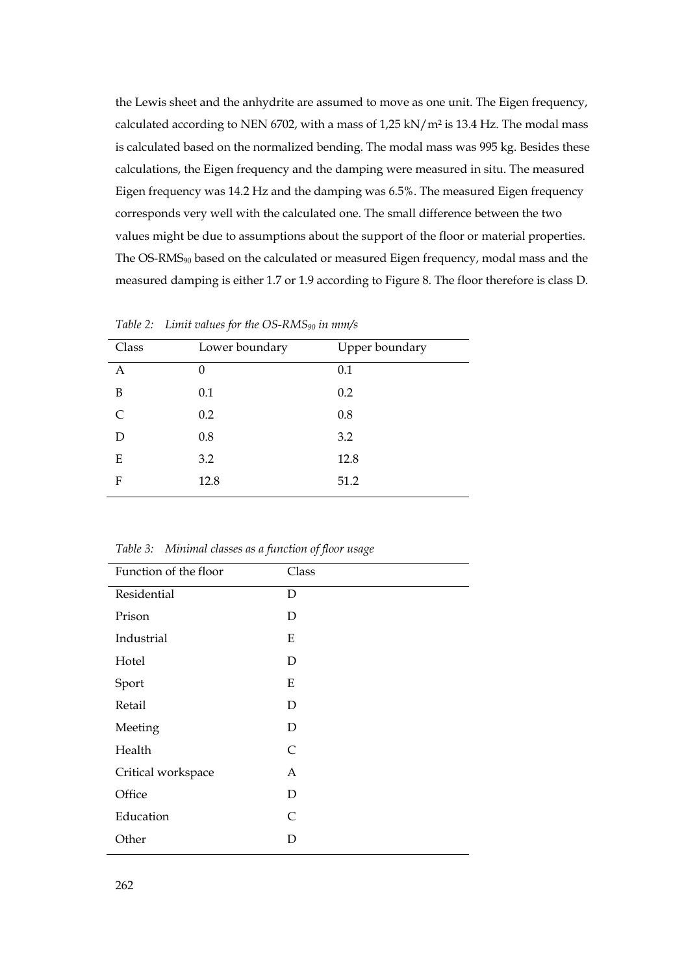the Lewis sheet and the anhydrite are assumed to move as one unit. The Eigen frequency, calculated according to NEN 6702, with a mass of 1,25 kN/m² is 13.4 Hz. The modal mass is calculated based on the normalized bending. The modal mass was 995 kg. Besides these calculations, the Eigen frequency and the damping were measured in situ. The measured Eigen frequency was 14.2 Hz and the damping was 6.5%. The measured Eigen frequency corresponds very well with the calculated one. The small difference between the two values might be due to assumptions about the support of the floor or material properties. The OS-RMS<sub>90</sub> based on the calculated or measured Eigen frequency, modal mass and the measured damping is either 1.7 or 1.9 according to Figure 8. The floor therefore is class D.

| Class     | Lower boundary | Upper boundary |
|-----------|----------------|----------------|
| А         | 0              | 0.1            |
| B         | 0.1            | 0.2            |
| $\subset$ | 0.2            | 0.8            |
| D         | $0.8\,$        | 3.2            |
| E         | 3.2            | 12.8           |
| F         | 12.8           | 51.2           |

*Table 2: Limit values for the OS-RMS<sub>90</sub> in mm/s* 

*Table 3: Minimal classes as a function of floor usage* 

| Function of the floor | Class |
|-----------------------|-------|
| Residential           | D     |
| Prison                | D     |
| Industrial            | E     |
| Hotel                 | D     |
| Sport                 | Ε     |
| Retail                | D     |
| Meeting               | D     |
| Health                | C     |
| Critical workspace    | А     |
| Office                | D     |
| Education             | C     |
| Other                 | D     |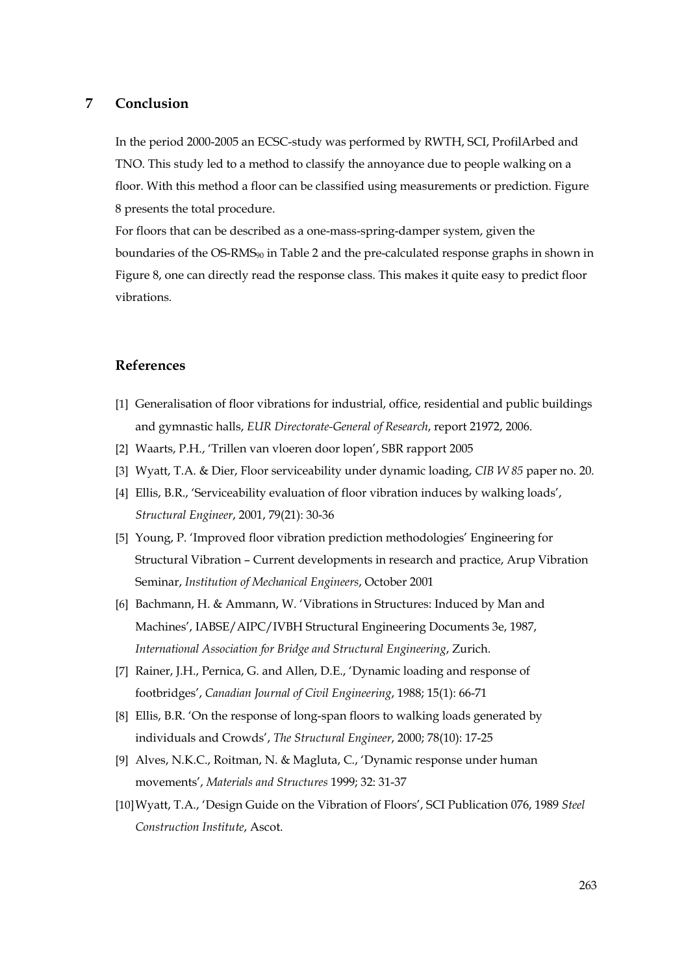# **7 Conclusion**

In the period 2000-2005 an ECSC-study was performed by RWTH, SCI, ProfilArbed and TNO. This study led to a method to classify the annoyance due to people walking on a floor. With this method a floor can be classified using measurements or prediction. Figure 8 presents the total procedure.

For floors that can be described as a one-mass-spring-damper system, given the boundaries of the  $OS-RMS_{90}$  in Table 2 and the pre-calculated response graphs in shown in Figure 8, one can directly read the response class. This makes it quite easy to predict floor vibrations.

## **References**

- [1] Generalisation of floor vibrations for industrial, office, residential and public buildings and gymnastic halls, *EUR Directorate-General of Research*, report 21972, 2006.
- [2] Waarts, P.H., 'Trillen van vloeren door lopen', SBR rapport 2005
- [3] Wyatt, T.A. & Dier, Floor serviceability under dynamic loading, *CIB W 85* paper no. 20.
- [4] Ellis, B.R., 'Serviceability evaluation of floor vibration induces by walking loads', *Structural Engineer*, 2001, 79(21): 30-36
- [5] Young, P. 'Improved floor vibration prediction methodologies' Engineering for Structural Vibration – Current developments in research and practice, Arup Vibration Seminar, *Institution of Mechanical Engineers*, October 2001
- [6] Bachmann, H. & Ammann, W. 'Vibrations in Structures: Induced by Man and Machines', IABSE/AIPC/IVBH Structural Engineering Documents 3e, 1987, *International Association for Bridge and Structural Engineering*, Zurich.
- [7] Rainer, J.H., Pernica, G. and Allen, D.E., 'Dynamic loading and response of footbridges', *Canadian Journal of Civil Engineering*, 1988; 15(1): 66-71
- [8] Ellis, B.R. 'On the response of long-span floors to walking loads generated by individuals and Crowds', *The Structural Engineer*, 2000; 78(10): 17-25
- [9] Alves, N.K.C., Roitman, N. & Magluta, C., 'Dynamic response under human movements', *Materials and Structures* 1999; 32: 31-37
- [10]Wyatt, T.A., 'Design Guide on the Vibration of Floors', SCI Publication 076, 1989 *Steel Construction Institute*, Ascot.